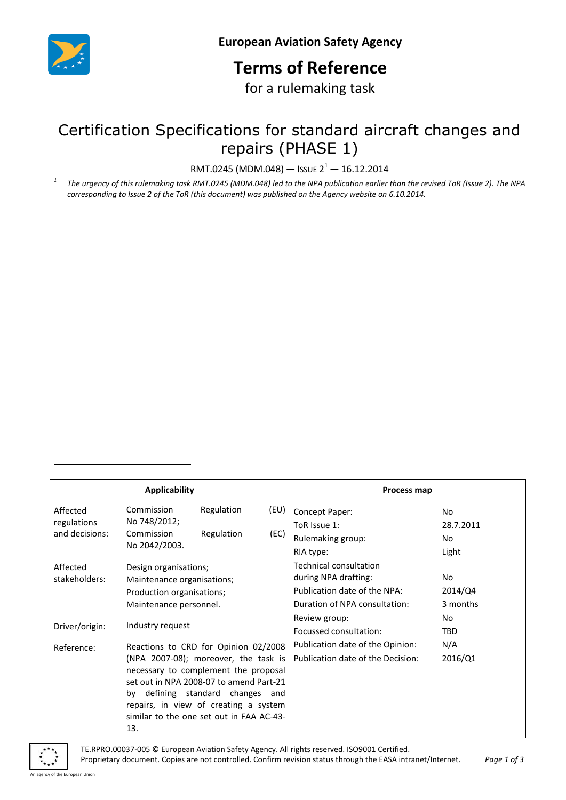

# **Terms of Reference**

for a rulemaking task

## Certification Specifications for standard aircraft changes and repairs (PHASE 1)

RMT.0245 (MDM.048) — ISSUE  $2^1$  — 16.12.2014

*1* The urgency of this rulemaking task RMT.0245 (MDM.048) led to the NPA publication earlier than the revised ToR (Issue 2). The NPA *corresponding to Issue 2 of the ToR (this document) was published on the Agency website on 6.10.2014.*

| <b>Applicability</b> |                                                                                                                                                                                                                                              |            |      | Process map                       |            |
|----------------------|----------------------------------------------------------------------------------------------------------------------------------------------------------------------------------------------------------------------------------------------|------------|------|-----------------------------------|------------|
| Affected             | Commission                                                                                                                                                                                                                                   | Regulation | (EU) | Concept Paper:                    | No.        |
| regulations          | No 748/2012;                                                                                                                                                                                                                                 |            |      | ToR Issue 1:                      | 28.7.2011  |
| and decisions:       | Commission<br>No 2042/2003.                                                                                                                                                                                                                  | Regulation | (EC) | Rulemaking group:                 | No.        |
|                      |                                                                                                                                                                                                                                              |            |      | RIA type:                         | Light      |
| Affected             | Design organisations;<br>Maintenance organisations;                                                                                                                                                                                          |            |      | Technical consultation            |            |
| stakeholders:        |                                                                                                                                                                                                                                              |            |      | during NPA drafting:              | No.        |
|                      | Production organisations;                                                                                                                                                                                                                    |            |      | Publication date of the NPA:      | 2014/Q4    |
|                      | Maintenance personnel.                                                                                                                                                                                                                       |            |      | Duration of NPA consultation:     | 3 months   |
| Driver/origin:       | Industry request                                                                                                                                                                                                                             |            |      | Review group:                     | No.        |
|                      |                                                                                                                                                                                                                                              |            |      | Focussed consultation:            | <b>TBD</b> |
| Reference:           | Reactions to CRD for Opinion 02/2008<br>(NPA 2007-08); moreover, the task is<br>necessary to complement the proposal<br>set out in NPA 2008-07 to amend Part-21<br>by defining standard changes and<br>repairs, in view of creating a system |            |      | Publication date of the Opinion:  | N/A        |
|                      |                                                                                                                                                                                                                                              |            |      | Publication date of the Decision: | 2016/Q1    |
|                      |                                                                                                                                                                                                                                              |            |      |                                   |            |
|                      |                                                                                                                                                                                                                                              |            |      |                                   |            |
|                      |                                                                                                                                                                                                                                              |            |      |                                   |            |
|                      |                                                                                                                                                                                                                                              |            |      |                                   |            |
|                      | similar to the one set out in FAA AC-43-<br>13.                                                                                                                                                                                              |            |      |                                   |            |
|                      |                                                                                                                                                                                                                                              |            |      |                                   |            |

-

TE.RPRO.00037-005 © European Aviation Safety Agency. All rights reserved. ISO9001 Certified. Proprietary document. Copies are not controlled. Confirm revision status through the EASA intranet/Internet. *Page 1 of 3*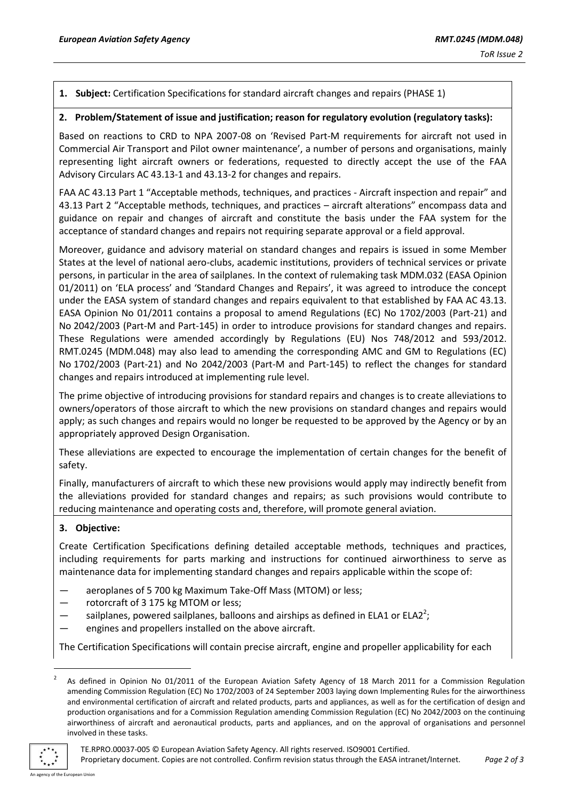#### **1. Subject:** Certification Specifications for standard aircraft changes and repairs (PHASE 1)

#### **2. Problem/Statement of issue and justification; reason for regulatory evolution (regulatory tasks):**

Based on reactions to CRD to NPA 2007-08 on 'Revised Part-M requirements for aircraft not used in Commercial Air Transport and Pilot owner maintenance', a number of persons and organisations, mainly representing light aircraft owners or federations, requested to directly accept the use of the FAA Advisory Circulars AC 43.13-1 and 43.13-2 for changes and repairs.

FAA AC 43.13 Part 1 "Acceptable methods, techniques, and practices - Aircraft inspection and repair" and 43.13 Part 2 "Acceptable methods, techniques, and practices – aircraft alterations" encompass data and guidance on repair and changes of aircraft and constitute the basis under the FAA system for the acceptance of standard changes and repairs not requiring separate approval or a field approval.

Moreover, guidance and advisory material on standard changes and repairs is issued in some Member States at the level of national aero-clubs, academic institutions, providers of technical services or private persons, in particular in the area of sailplanes. In the context of rulemaking task MDM.032 (EASA Opinion 01/2011) on 'ELA process' and 'Standard Changes and Repairs', it was agreed to introduce the concept under the EASA system of standard changes and repairs equivalent to that established by FAA AC 43.13. EASA Opinion No 01/2011 contains a proposal to amend Regulations (EC) No 1702/2003 (Part-21) and No 2042/2003 (Part-M and Part-145) in order to introduce provisions for standard changes and repairs. These Regulations were amended accordingly by Regulations (EU) Nos 748/2012 and 593/2012. RMT.0245 (MDM.048) may also lead to amending the corresponding AMC and GM to Regulations (EC) No 1702/2003 (Part-21) and No 2042/2003 (Part-M and Part-145) to reflect the changes for standard changes and repairs introduced at implementing rule level.

The prime objective of introducing provisions for standard repairs and changes is to create alleviations to owners/operators of those aircraft to which the new provisions on standard changes and repairs would apply; as such changes and repairs would no longer be requested to be approved by the Agency or by an appropriately approved Design Organisation.

These alleviations are expected to encourage the implementation of certain changes for the benefit of safety.

Finally, manufacturers of aircraft to which these new provisions would apply may indirectly benefit from the alleviations provided for standard changes and repairs; as such provisions would contribute to reducing maintenance and operating costs and, therefore, will promote general aviation.

### **3. Objective:**

Create Certification Specifications defining detailed acceptable methods, techniques and practices, including requirements for parts marking and instructions for continued airworthiness to serve as maintenance data for implementing standard changes and repairs applicable within the scope of:

- aeroplanes of 5 700 kg Maximum Take-Off Mass (MTOM) or less;
- rotorcraft of 3 175 kg MTOM or less;
- $-$  sailplanes, powered sailplanes, balloons and airships as defined in ELA1 or ELA2<sup>2</sup>;
- engines and propellers installed on the above aircraft.

The Certification Specifications will contain precise aircraft, engine and propeller applicability for each

<sup>2</sup> As defined in Opinion No 01/2011 of the European Aviation Safety Agency of 18 March 2011 for a Commission Regulation amending Commission Regulation (EC) No [1702/2003](http://easa.europa.eu/regulations/regulation-EC-1702-2003.php) of 24 September 2003 laying down Implementing Rules for the airworthiness and environmental certification of aircraft and related products, parts and appliances, as well as for the certification of design and production organisations and for a Commission Regulation amending Commission Regulation (EC) No [2042/2003](http://easa.europa.eu/regulations/regulation-EC-2042-2003.php) on the continuing airworthiness of aircraft and aeronautical products, parts and appliances, and on the approval of organisations and personnel involved in these tasks.



1